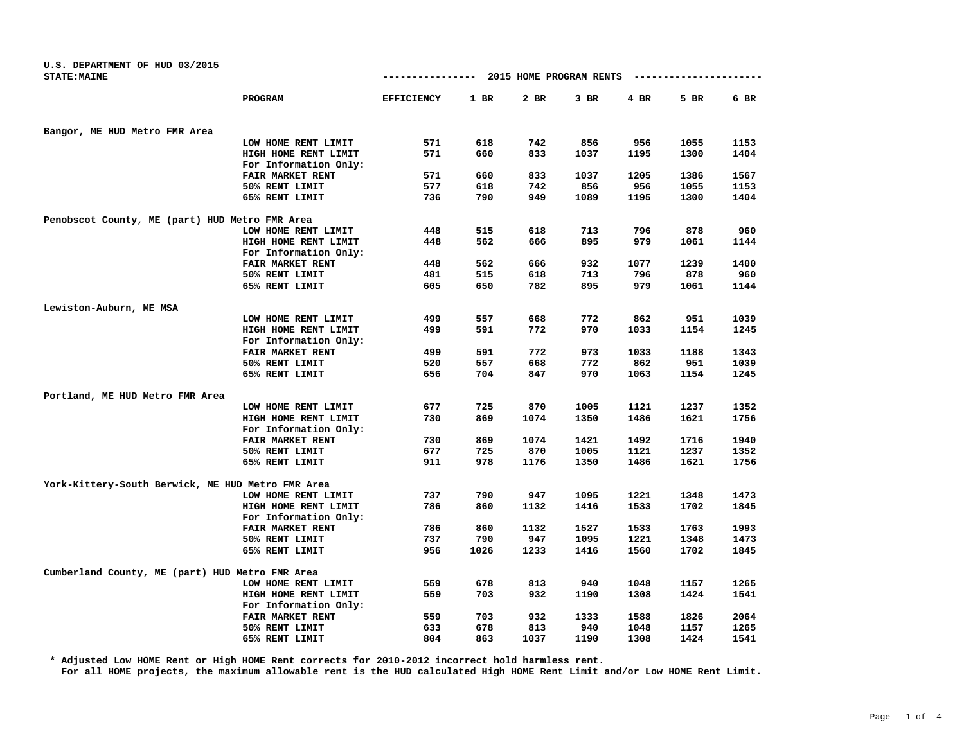| U.S. DEPARTMENT OF HUD 03/2015                    |                         |                   |        |                         |        |      |               |        |
|---------------------------------------------------|-------------------------|-------------------|--------|-------------------------|--------|------|---------------|--------|
| <b>STATE: MAINE</b>                               |                         | ----------------  |        | 2015 HOME PROGRAM RENTS |        |      | ------------- |        |
|                                                   | PROGRAM                 | <b>EFFICIENCY</b> | $1$ BR | 2 BR                    | $3$ BR | 4 BR | 5 BR          | $6$ BR |
| Bangor, ME HUD Metro FMR Area                     |                         |                   |        |                         |        |      |               |        |
|                                                   | LOW HOME RENT LIMIT     | 571               | 618    | 742                     | 856    | 956  | 1055          | 1153   |
|                                                   | HIGH HOME RENT LIMIT    | 571               | 660    | 833                     | 1037   | 1195 | 1300          | 1404   |
|                                                   | For Information Only:   |                   |        |                         |        |      |               |        |
|                                                   | FAIR MARKET RENT        | 571               | 660    | 833                     | 1037   | 1205 | 1386          | 1567   |
|                                                   | 50% RENT LIMIT          | 577               | 618    | 742                     | 856    | 956  | 1055          | 1153   |
|                                                   | 65% RENT LIMIT          | 736               | 790    | 949                     | 1089   | 1195 | 1300          | 1404   |
| Penobscot County, ME (part) HUD Metro FMR Area    |                         |                   |        |                         |        |      |               |        |
|                                                   | LOW HOME RENT LIMIT     | 448               | 515    | 618                     | 713    | 796  | 878           | 960    |
|                                                   | HIGH HOME RENT LIMIT    | 448               | 562    | 666                     | 895    | 979  | 1061          | 1144   |
|                                                   | For Information Only:   |                   |        |                         |        |      |               |        |
|                                                   | FAIR MARKET RENT        | 448               | 562    | 666                     | 932    | 1077 | 1239          | 1400   |
|                                                   | 50% RENT LIMIT          | 481               | 515    | 618                     | 713    | 796  | 878           | 960    |
|                                                   | 65% RENT LIMIT          | 605               | 650    | 782                     | 895    | 979  | 1061          | 1144   |
| Lewiston-Auburn, ME MSA                           |                         |                   |        |                         |        |      |               |        |
|                                                   | LOW HOME RENT LIMIT     | 499               | 557    | 668                     | 772    | 862  | 951           | 1039   |
|                                                   | HIGH HOME RENT LIMIT    | 499               | 591    | 772                     | 970    | 1033 | 1154          | 1245   |
|                                                   | For Information Only:   |                   |        |                         |        |      |               |        |
|                                                   | FAIR MARKET RENT        | 499               | 591    | 772                     | 973    | 1033 | 1188          | 1343   |
|                                                   | 50% RENT LIMIT          | 520               | 557    | 668                     | 772    | 862  | 951           | 1039   |
|                                                   | 65% RENT LIMIT          | 656               | 704    | 847                     | 970    | 1063 | 1154          | 1245   |
| Portland, ME HUD Metro FMR Area                   |                         |                   |        |                         |        |      |               |        |
|                                                   | LOW HOME RENT LIMIT     | 677               | 725    | 870                     | 1005   | 1121 | 1237          | 1352   |
|                                                   | HIGH HOME RENT LIMIT    | 730               | 869    | 1074                    | 1350   | 1486 | 1621          | 1756   |
|                                                   | For Information Only:   |                   |        |                         |        |      |               |        |
|                                                   | <b>FAIR MARKET RENT</b> | 730               | 869    | 1074                    | 1421   | 1492 | 1716          | 1940   |
|                                                   | 50% RENT LIMIT          | 677               | 725    | 870                     | 1005   | 1121 | 1237          | 1352   |
|                                                   | 65% RENT LIMIT          | 911               | 978    | 1176                    | 1350   | 1486 | 1621          | 1756   |
| York-Kittery-South Berwick, ME HUD Metro FMR Area |                         |                   |        |                         |        |      |               |        |
|                                                   | LOW HOME RENT LIMIT     | 737               | 790    | 947                     | 1095   | 1221 | 1348          | 1473   |
|                                                   | HIGH HOME RENT LIMIT    | 786               | 860    | 1132                    | 1416   | 1533 | 1702          | 1845   |
|                                                   | For Information Only:   |                   |        |                         |        |      |               |        |
|                                                   | FAIR MARKET RENT        | 786               | 860    | 1132                    | 1527   | 1533 | 1763          | 1993   |
|                                                   | 50% RENT LIMIT          | 737               | 790    | 947                     | 1095   | 1221 | 1348          | 1473   |
|                                                   | 65% RENT LIMIT          | 956               | 1026   | 1233                    | 1416   | 1560 | 1702          | 1845   |
| Cumberland County, ME (part) HUD Metro FMR Area   |                         |                   |        |                         |        |      |               |        |
|                                                   | LOW HOME RENT LIMIT     | 559               | 678    | 813                     | 940    | 1048 | 1157          | 1265   |
|                                                   | HIGH HOME RENT LIMIT    | 559               | 703    | 932                     | 1190   | 1308 | 1424          | 1541   |
|                                                   | For Information Only:   |                   |        |                         |        |      |               |        |
|                                                   | <b>FAIR MARKET RENT</b> | 559               | 703    | 932                     | 1333   | 1588 | 1826          | 2064   |
|                                                   | 50% RENT LIMIT          | 633               | 678    | 813                     | 940    | 1048 | 1157          | 1265   |
|                                                   | 65% RENT LIMIT          | 804               | 863    | 1037                    | 1190   | 1308 | 1424          | 1541   |

**\* Adjusted Low HOME Rent or High HOME Rent corrects for 2010-2012 incorrect hold harmless rent.**

**For all HOME projects, the maximum allowable rent is the HUD calculated High HOME Rent Limit and/or Low HOME Rent Limit.**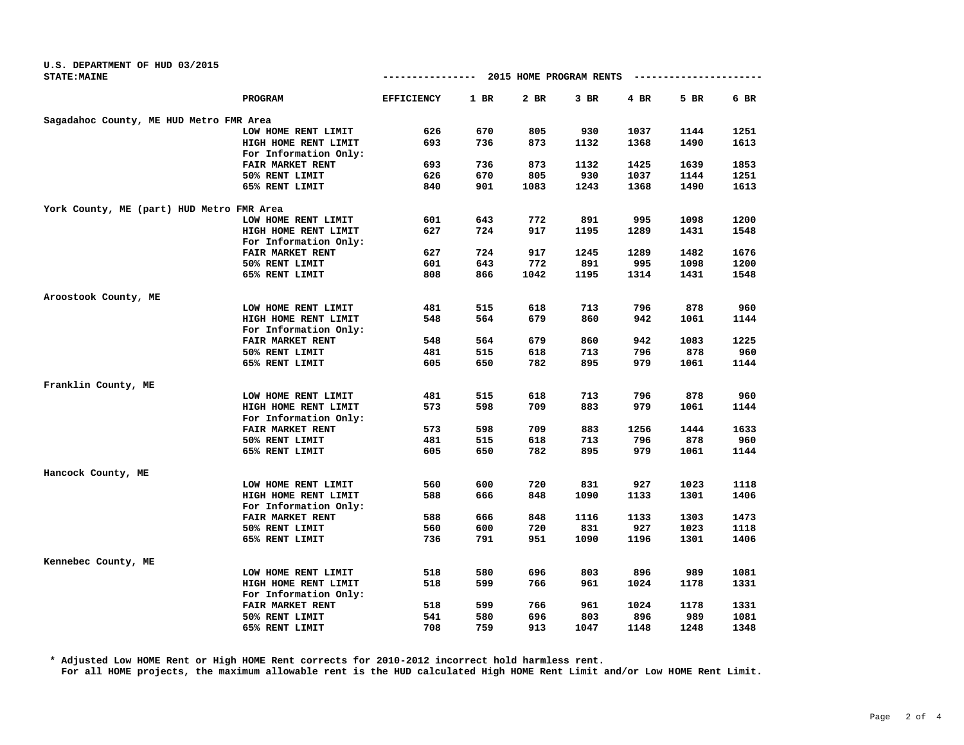| <b><i>STATE: MAINE</i></b>                |                         |                   |        |      |        |      | -------------------- |      |
|-------------------------------------------|-------------------------|-------------------|--------|------|--------|------|----------------------|------|
|                                           | PROGRAM                 | <b>EFFICIENCY</b> | $1$ BR | 2 BR | $3$ BR | 4 BR | 5 BR                 | 6 BR |
| Sagadahoc County, ME HUD Metro FMR Area   |                         |                   |        |      |        |      |                      |      |
|                                           | LOW HOME RENT LIMIT     | 626               | 670    | 805  | 930    | 1037 | 1144                 | 1251 |
|                                           | HIGH HOME RENT LIMIT    | 693               | 736    | 873  | 1132   | 1368 | 1490                 | 1613 |
|                                           | For Information Only:   |                   |        |      |        |      |                      |      |
|                                           | FAIR MARKET RENT        | 693               | 736    | 873  | 1132   | 1425 | 1639                 | 1853 |
|                                           | 50% RENT LIMIT          | 626               | 670    | 805  | 930    | 1037 | 1144                 | 1251 |
|                                           | 65% RENT LIMIT          | 840               | 901    | 1083 | 1243   | 1368 | 1490                 | 1613 |
| York County, ME (part) HUD Metro FMR Area |                         |                   |        |      |        |      |                      |      |
|                                           | LOW HOME RENT LIMIT     | 601               | 643    | 772  | 891    | 995  | 1098                 | 1200 |
|                                           | HIGH HOME RENT LIMIT    | 627               | 724    | 917  | 1195   | 1289 | 1431                 | 1548 |
|                                           | For Information Only:   |                   |        |      |        |      |                      |      |
|                                           | <b>FAIR MARKET RENT</b> | 627               | 724    | 917  | 1245   | 1289 | 1482                 | 1676 |
|                                           | 50% RENT LIMIT          | 601               | 643    | 772  | 891    | 995  | 1098                 | 1200 |
|                                           | 65% RENT LIMIT          | 808               | 866    | 1042 | 1195   | 1314 | 1431                 | 1548 |
| Aroostook County, ME                      |                         |                   |        |      |        |      |                      |      |
|                                           | LOW HOME RENT LIMIT     | 481               | 515    | 618  | 713    | 796  | 878                  | 960  |
|                                           | HIGH HOME RENT LIMIT    | 548               | 564    | 679  | 860    | 942  | 1061                 | 1144 |
|                                           | For Information Only:   |                   |        |      |        |      |                      |      |
|                                           | <b>FAIR MARKET RENT</b> | 548               | 564    | 679  | 860    | 942  | 1083                 | 1225 |
|                                           | 50% RENT LIMIT          | 481               | 515    | 618  | 713    | 796  | 878                  | 960  |
|                                           | 65% RENT LIMIT          | 605               | 650    | 782  | 895    | 979  | 1061                 | 1144 |
| Franklin County, ME                       |                         |                   |        |      |        |      |                      |      |
|                                           | LOW HOME RENT LIMIT     | 481               | 515    | 618  | 713    | 796  | 878                  | 960  |
|                                           | HIGH HOME RENT LIMIT    | 573               | 598    | 709  | 883    | 979  | 1061                 | 1144 |
|                                           | For Information Only:   |                   |        |      |        |      |                      |      |
|                                           | FAIR MARKET RENT        | 573               | 598    | 709  | 883    | 1256 | 1444                 | 1633 |
|                                           | 50% RENT LIMIT          | 481               | 515    | 618  | 713    | 796  | 878                  | 960  |
|                                           | 65% RENT LIMIT          | 605               | 650    | 782  | 895    | 979  | 1061                 | 1144 |
| Hancock County, ME                        |                         |                   |        |      |        |      |                      |      |
|                                           | LOW HOME RENT LIMIT     | 560               | 600    | 720  | 831    | 927  | 1023                 | 1118 |
|                                           | HIGH HOME RENT LIMIT    | 588               | 666    | 848  | 1090   | 1133 | 1301                 | 1406 |
|                                           | For Information Only:   |                   |        |      |        |      |                      |      |
|                                           | FAIR MARKET RENT        | 588               | 666    | 848  | 1116   | 1133 | 1303                 | 1473 |
|                                           | 50% RENT LIMIT          | 560               | 600    | 720  | 831    | 927  | 1023                 | 1118 |
|                                           | 65% RENT LIMIT          | 736               | 791    | 951  | 1090   | 1196 | 1301                 | 1406 |
| Kennebec County, ME                       |                         |                   |        |      |        |      |                      |      |
|                                           | LOW HOME RENT LIMIT     | 518               | 580    | 696  | 803    | 896  | 989                  | 1081 |
|                                           | HIGH HOME RENT LIMIT    | 518               | 599    | 766  | 961    | 1024 | 1178                 | 1331 |
|                                           | For Information Only:   |                   |        |      |        |      |                      |      |
|                                           | FAIR MARKET RENT        | 518               | 599    | 766  | 961    | 1024 | 1178                 | 1331 |
|                                           | 50% RENT LIMIT          | 541               | 580    | 696  | 803    | 896  | 989                  | 1081 |
|                                           | 65% RENT LIMIT          | 708               | 759    | 913  | 1047   | 1148 | 1248                 | 1348 |

**U.S. DEPARTMENT OF HUD 03/2015**

**\* Adjusted Low HOME Rent or High HOME Rent corrects for 2010-2012 incorrect hold harmless rent. For all HOME projects, the maximum allowable rent is the HUD calculated High HOME Rent Limit and/or Low HOME Rent Limit.**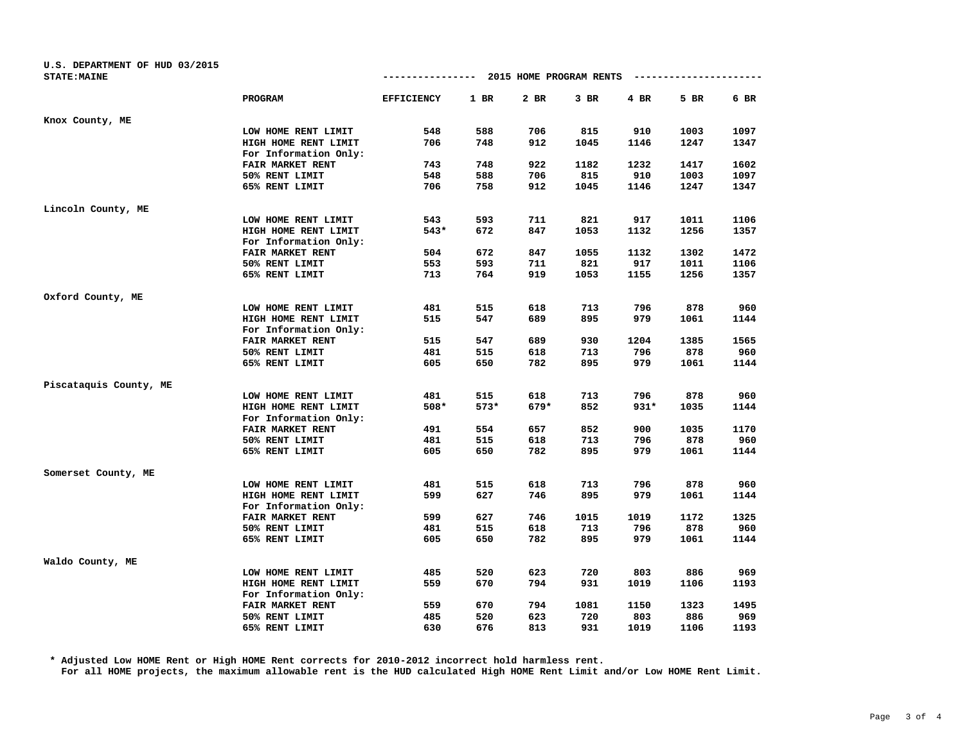| U.S. DEPARTMENT OF HUD 03/2015<br><b>STATE: MAINE</b> |                       | -------------     |        | 2015 HOME PROGRAM RENTS |      |        |      |      |
|-------------------------------------------------------|-----------------------|-------------------|--------|-------------------------|------|--------|------|------|
|                                                       |                       |                   |        |                         |      |        |      |      |
|                                                       | PROGRAM               | <b>EFFICIENCY</b> | $1$ BR | 2 BR                    | 3 BR | 4 BR   | 5 BR | 6 BR |
| Knox County, ME                                       |                       |                   |        |                         |      |        |      |      |
|                                                       | LOW HOME RENT LIMIT   | 548               | 588    | 706                     | 815  | 910    | 1003 | 1097 |
|                                                       | HIGH HOME RENT LIMIT  | 706               | 748    | 912                     | 1045 | 1146   | 1247 | 1347 |
|                                                       | For Information Only: |                   |        |                         |      |        |      |      |
|                                                       | FAIR MARKET RENT      | 743               | 748    | 922                     | 1182 | 1232   | 1417 | 1602 |
|                                                       | 50% RENT LIMIT        | 548               | 588    | 706                     | 815  | 910    | 1003 | 1097 |
|                                                       | 65% RENT LIMIT        | 706               | 758    | 912                     | 1045 | 1146   | 1247 | 1347 |
| Lincoln County, ME                                    |                       |                   |        |                         |      |        |      |      |
|                                                       | LOW HOME RENT LIMIT   | 543               | 593    | 711                     | 821  | 917    | 1011 | 1106 |
|                                                       | HIGH HOME RENT LIMIT  | 543*              | 672    | 847                     | 1053 | 1132   | 1256 | 1357 |
|                                                       | For Information Only: |                   |        |                         |      |        |      |      |
|                                                       | FAIR MARKET RENT      | 504               | 672    | 847                     | 1055 | 1132   | 1302 | 1472 |
|                                                       | 50% RENT LIMIT        | 553               | 593    | 711                     | 821  | 917    | 1011 | 1106 |
|                                                       | 65% RENT LIMIT        | 713               | 764    | 919                     | 1053 | 1155   | 1256 | 1357 |
| Oxford County, ME                                     |                       |                   |        |                         |      |        |      |      |
|                                                       | LOW HOME RENT LIMIT   | 481               | 515    | 618                     | 713  | 796    | 878  | 960  |
|                                                       | HIGH HOME RENT LIMIT  | 515               | 547    | 689                     | 895  | 979    | 1061 | 1144 |
|                                                       | For Information Only: |                   |        |                         |      |        |      |      |
|                                                       | FAIR MARKET RENT      | 515               | 547    | 689                     | 930  | 1204   | 1385 | 1565 |
|                                                       | 50% RENT LIMIT        | 481               | 515    | 618                     | 713  | 796    | 878  | 960  |
|                                                       | 65% RENT LIMIT        | 605               | 650    | 782                     | 895  | 979    | 1061 | 1144 |
| Piscataquis County, ME                                |                       |                   |        |                         |      |        |      |      |
|                                                       | LOW HOME RENT LIMIT   | 481               | 515    | 618                     | 713  | 796    | 878  | 960  |
|                                                       | HIGH HOME RENT LIMIT  | $508*$            | 573*   | $679*$                  | 852  | $931*$ | 1035 | 1144 |
|                                                       | For Information Only: |                   |        |                         |      |        |      |      |
|                                                       | FAIR MARKET RENT      | 491               | 554    | 657                     | 852  | 900    | 1035 | 1170 |
|                                                       | 50% RENT LIMIT        | 481               | 515    | 618                     | 713  | 796    | 878  | 960  |
|                                                       | 65% RENT LIMIT        | 605               | 650    | 782                     | 895  | 979    | 1061 | 1144 |
| Somerset County, ME                                   |                       |                   |        |                         |      |        |      |      |
|                                                       | LOW HOME RENT LIMIT   | 481               | 515    | 618                     | 713  | 796    | 878  | 960  |
|                                                       | HIGH HOME RENT LIMIT  | 599               | 627    | 746                     | 895  | 979    | 1061 | 1144 |
|                                                       | For Information Only: |                   |        |                         |      |        |      |      |
|                                                       | FAIR MARKET RENT      | 599               | 627    | 746                     | 1015 | 1019   | 1172 | 1325 |
|                                                       | 50% RENT LIMIT        | 481               | 515    | 618                     | 713  | 796    | 878  | 960  |
|                                                       | 65% RENT LIMIT        | 605               | 650    | 782                     | 895  | 979    | 1061 | 1144 |
| Waldo County, ME                                      |                       |                   |        |                         |      |        |      |      |
|                                                       | LOW HOME RENT LIMIT   | 485               | 520    | 623                     | 720  | 803    | 886  | 969  |
|                                                       | HIGH HOME RENT LIMIT  | 559               | 670    | 794                     | 931  | 1019   | 1106 | 1193 |
|                                                       | For Information Only: |                   |        |                         |      |        |      |      |
|                                                       | FAIR MARKET RENT      | 559               | 670    | 794                     | 1081 | 1150   | 1323 | 1495 |
|                                                       | 50% RENT LIMIT        | 485               | 520    | 623                     | 720  | 803    | 886  | 969  |
|                                                       | 65% RENT LIMIT        | 630               | 676    | 813                     | 931  | 1019   | 1106 | 1193 |

**\* Adjusted Low HOME Rent or High HOME Rent corrects for 2010-2012 incorrect hold harmless rent. For all HOME projects, the maximum allowable rent is the HUD calculated High HOME Rent Limit and/or Low HOME Rent Limit.**